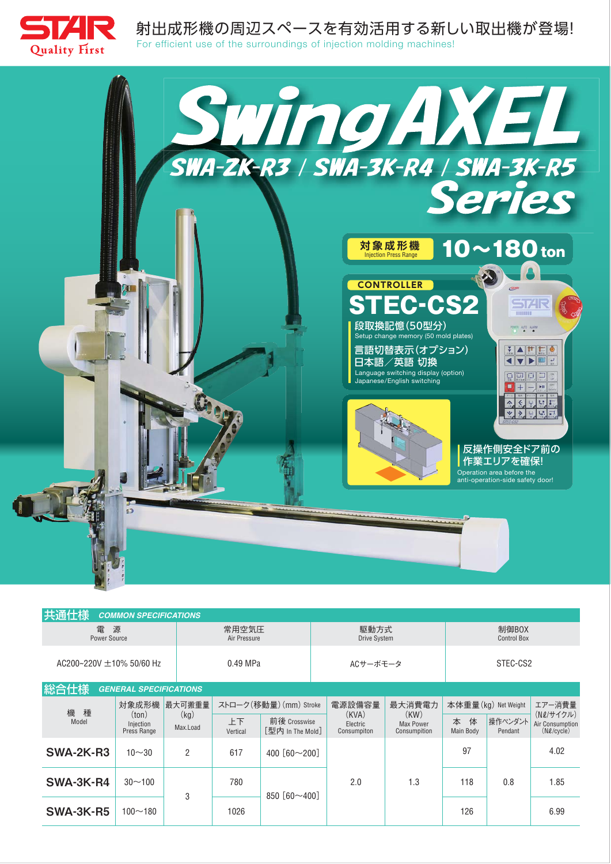

射出成形機の周辺スペースを有効活用する新しい取出機が登場!

For efficient use of the surroundings of injection molding machines!



| 共通仕様                                  | <b>COMMON SPECIFICATIONS</b>              |                            |                        |                                  |                                  |                                   |                             |                    |                                                 |
|---------------------------------------|-------------------------------------------|----------------------------|------------------------|----------------------------------|----------------------------------|-----------------------------------|-----------------------------|--------------------|-------------------------------------------------|
| 源<br>電<br><b>Power Source</b>         |                                           |                            | 常用空気圧<br>Air Pressure  |                                  | 駆動方式<br>Drive System             |                                   | 制御BOX<br><b>Control Box</b> |                    |                                                 |
| AC200~220V $\pm$ 10% 50/60 Hz         |                                           |                            | 0.49 MPa               |                                  | ACサーボモータ                         |                                   | STEC-CS2                    |                    |                                                 |
| 総合仕様<br><b>GENERAL SPECIFICATIONS</b> |                                           |                            |                        |                                  |                                  |                                   |                             |                    |                                                 |
| 機 種<br>Model                          | 対象成形機<br>ton)<br>Injection<br>Press Range | 最大可搬重量<br>(kg)<br>Max.Load | ストローク(移動量) (mm) Stroke |                                  | 電源設備容量                           | 最大消費電力                            | 本体重量(kg) Net Weight         |                    | エアー消費量                                          |
|                                       |                                           |                            | 上下<br>Vertical         | 前後 Crosswise<br>「型内 In The Mold] | (KVA)<br>Electric<br>Consumpiton | (KW)<br>Max Power<br>Consumpition | 体<br>本<br>Main Body         | 操作ペンダント<br>Pendant | (N2/サイクル)<br>Air Consumption<br>$(N\ell/cycle)$ |
| SWA-2K-R3                             | $10 - 30$                                 | 2                          | 617                    | 400 $[60 \sim 200]$              |                                  |                                   | 97                          |                    | 4.02                                            |
| SWA-3K-R4                             | $30 - 100$                                | 3                          | 780                    | 850 $[60 \sim 400]$              | 2.0                              | 1.3                               | 118                         | 0.8                | 1.85                                            |
| SWA-3K-R5                             | $100 - 180$                               |                            | 1026                   |                                  |                                  |                                   | 126                         |                    | 6.99                                            |